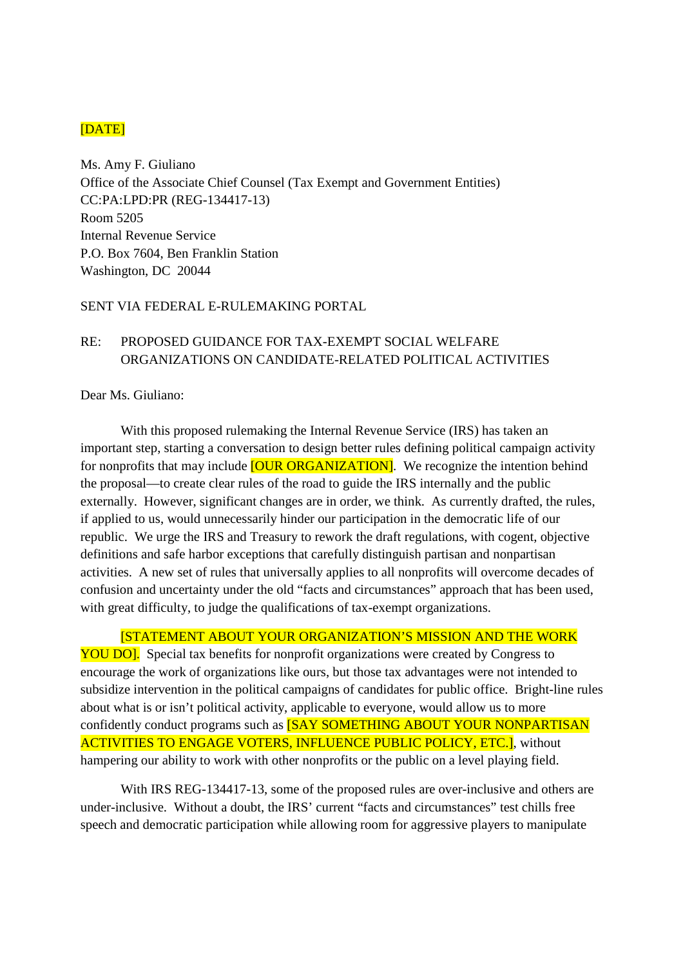## [DATE]

Ms. Amy F. Giuliano Office of the Associate Chief Counsel (Tax Exempt and Government Entities) CC:PA:LPD:PR (REG-134417-13) Room 5205 Internal Revenue Service P.O. Box 7604, Ben Franklin Station Washington, DC 20044

## SENT VIA FEDERAL E-RULEMAKING PORTAL

## RE: PROPOSED GUIDANCE FOR TAX-EXEMPT SOCIAL WELFARE ORGANIZATIONS ON CANDIDATE-RELATED POLITICAL ACTIVITIES

Dear Ms. Giuliano:

With this proposed rulemaking the Internal Revenue Service (IRS) has taken an important step, starting a conversation to design better rules defining political campaign activity for nonprofits that may include **[OUR ORGANIZATION]**. We recognize the intention behind the proposal—to create clear rules of the road to guide the IRS internally and the public externally. However, significant changes are in order, we think. As currently drafted, the rules, if applied to us, would unnecessarily hinder our participation in the democratic life of our republic. We urge the IRS and Treasury to rework the draft regulations, with cogent, objective definitions and safe harbor exceptions that carefully distinguish partisan and nonpartisan activities. A new set of rules that universally applies to all nonprofits will overcome decades of confusion and uncertainty under the old "facts and circumstances" approach that has been used, with great difficulty, to judge the qualifications of tax-exempt organizations.

[STATEMENT ABOUT YOUR ORGANIZATION'S MISSION AND THE WORK YOU DO]. Special tax benefits for nonprofit organizations were created by Congress to encourage the work of organizations like ours, but those tax advantages were not intended to subsidize intervention in the political campaigns of candidates for public office. Bright-line rules about what is or isn't political activity, applicable to everyone, would allow us to more confidently conduct programs such as **[SAY SOMETHING ABOUT YOUR NONPARTISAN** ACTIVITIES TO ENGAGE VOTERS, INFLUENCE PUBLIC POLICY, ETC.], without hampering our ability to work with other nonprofits or the public on a level playing field.

With IRS REG-134417-13, some of the proposed rules are over-inclusive and others are under-inclusive. Without a doubt, the IRS' current "facts and circumstances" test chills free speech and democratic participation while allowing room for aggressive players to manipulate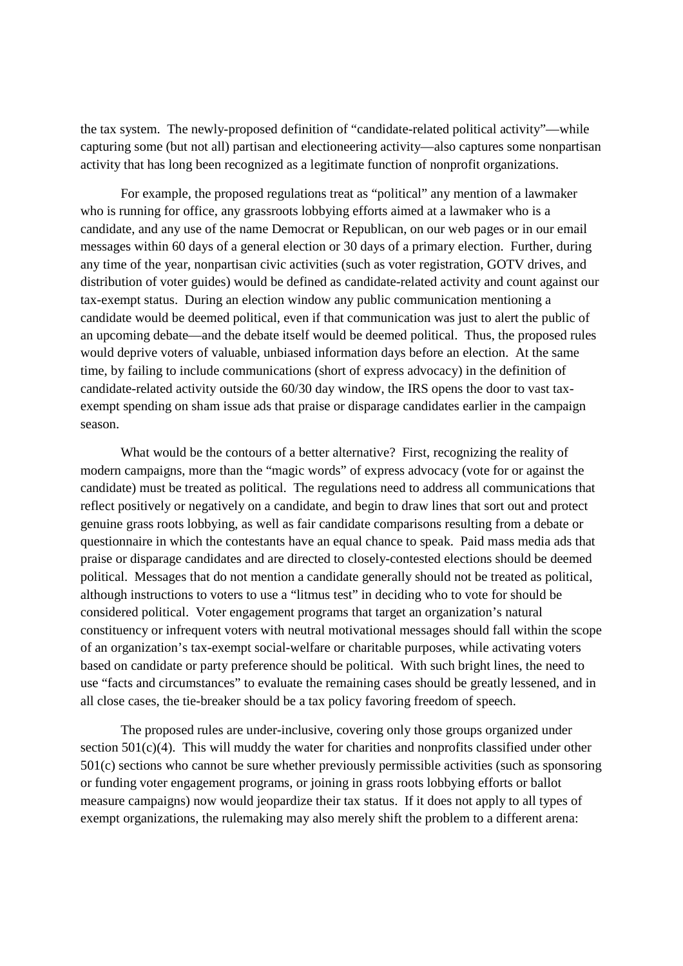the tax system. The newly-proposed definition of "candidate-related political activity"—while capturing some (but not all) partisan and electioneering activity—also captures some nonpartisan activity that has long been recognized as a legitimate function of nonprofit organizations.

For example, the proposed regulations treat as "political" any mention of a lawmaker who is running for office, any grassroots lobbying efforts aimed at a lawmaker who is a candidate, and any use of the name Democrat or Republican, on our web pages or in our email messages within 60 days of a general election or 30 days of a primary election. Further, during any time of the year, nonpartisan civic activities (such as voter registration, GOTV drives, and distribution of voter guides) would be defined as candidate-related activity and count against our tax-exempt status. During an election window any public communication mentioning a candidate would be deemed political, even if that communication was just to alert the public of an upcoming debate—and the debate itself would be deemed political. Thus, the proposed rules would deprive voters of valuable, unbiased information days before an election. At the same time, by failing to include communications (short of express advocacy) in the definition of candidate-related activity outside the 60/30 day window, the IRS opens the door to vast taxexempt spending on sham issue ads that praise or disparage candidates earlier in the campaign season.

What would be the contours of a better alternative? First, recognizing the reality of modern campaigns, more than the "magic words" of express advocacy (vote for or against the candidate) must be treated as political. The regulations need to address all communications that reflect positively or negatively on a candidate, and begin to draw lines that sort out and protect genuine grass roots lobbying, as well as fair candidate comparisons resulting from a debate or questionnaire in which the contestants have an equal chance to speak. Paid mass media ads that praise or disparage candidates and are directed to closely-contested elections should be deemed political. Messages that do not mention a candidate generally should not be treated as political, although instructions to voters to use a "litmus test" in deciding who to vote for should be considered political. Voter engagement programs that target an organization's natural constituency or infrequent voters with neutral motivational messages should fall within the scope of an organization's tax-exempt social-welfare or charitable purposes, while activating voters based on candidate or party preference should be political. With such bright lines, the need to use "facts and circumstances" to evaluate the remaining cases should be greatly lessened, and in all close cases, the tie-breaker should be a tax policy favoring freedom of speech.

The proposed rules are under-inclusive, covering only those groups organized under section 501(c)(4). This will muddy the water for charities and nonprofits classified under other 501(c) sections who cannot be sure whether previously permissible activities (such as sponsoring or funding voter engagement programs, or joining in grass roots lobbying efforts or ballot measure campaigns) now would jeopardize their tax status. If it does not apply to all types of exempt organizations, the rulemaking may also merely shift the problem to a different arena: